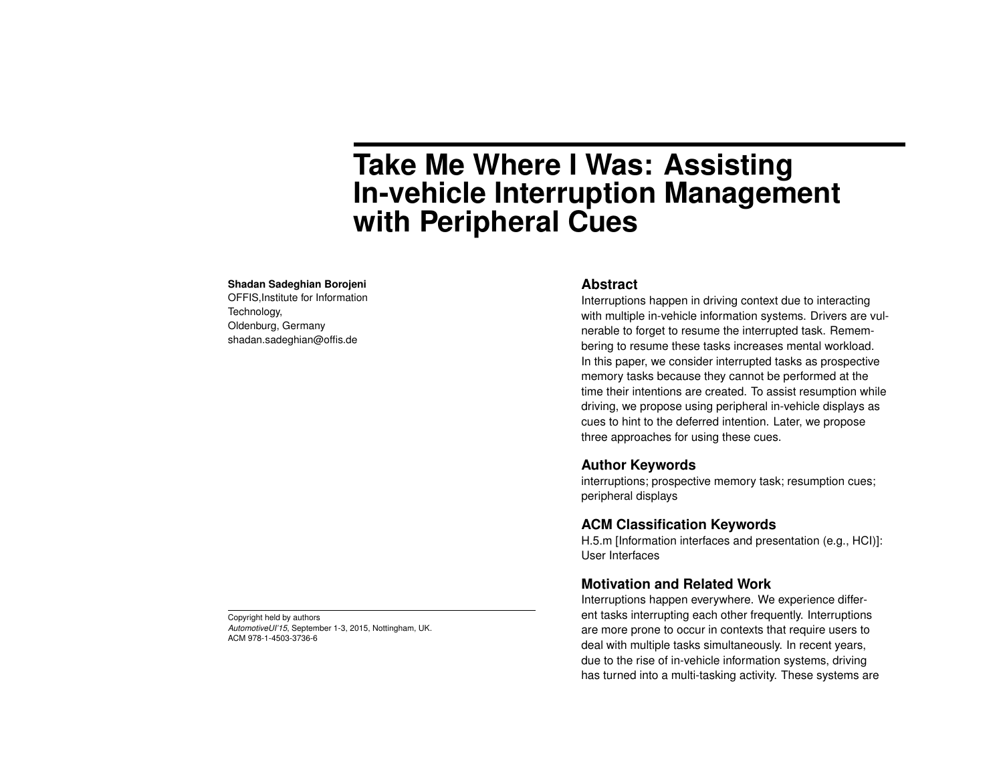# **Take Me Where I Was: Assisting In-vehicle Interruption Management with Peripheral Cues**

#### **Shadan Sadeghian Borojeni**

OFFIS,Institute for Information Technology, Oldenburg, Germany shadan.sadeghian@offis.de

#### **Abstract**

Interruptions happen in driving context due to interacting with multiple in-vehicle information systems. Drivers are vulnerable to forget to resume the interrupted task. Remembering to resume these tasks increases mental workload. In this paper, we consider interrupted tasks as prospective memory tasks because they cannot be performed at the time their intentions are created. To assist resumption while driving, we propose using peripheral in-vehicle displays as cues to hint to the deferred intention. Later, we propose three approaches for using these cues.

# **Author Keywords**

interruptions; prospective memory task; resumption cues; peripheral displays

# **ACM Classification Keywords**

H.5.m [Information interfaces and presentation (e.g., HCI)]: User Interfaces

## **Motivation and Related Work**

Interruptions happen everywhere. We experience different tasks interrupting each other frequently. Interruptions are more prone to occur in contexts that require users to deal with multiple tasks simultaneously. In recent years, due to the rise of in-vehicle information systems, driving has turned into a multi-tasking activity. These systems are

Copyright held by authors *AutomotiveUI'15*, September 1-3, 2015, Nottingham, UK. ACM 978-1-4503-3736-6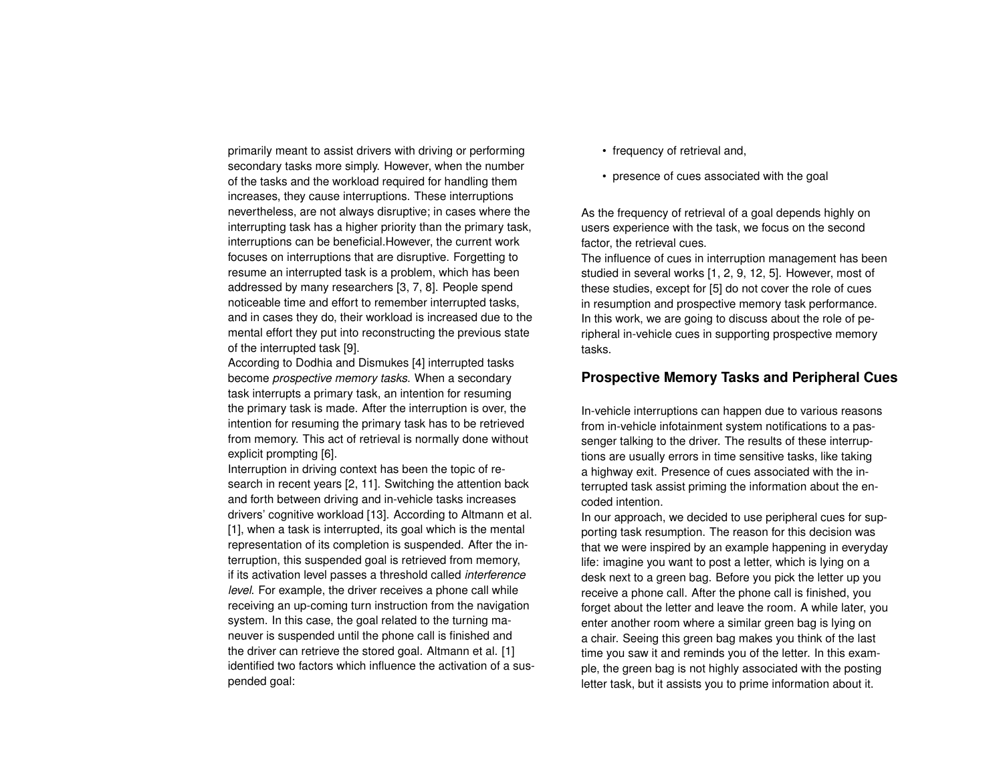primarily meant to assist drivers with driving or performing secondary tasks more simply. However, when the number of the tasks and the workload required for handling them increases, they cause interruptions. These interruptions nevertheless, are not always disruptive; in cases where the interrupting task has a higher priority than the primary task, interruptions can be beneficial.However, the current work focuses on interruptions that are disruptive. Forgetting to resume an interrupted task is a problem, which has been addressed by many researchers [\[3,](#page-2-0) [7,](#page-3-0) [8\]](#page-3-1). People spend noticeable time and effort to remember interrupted tasks, and in cases they do, their workload is increased due to the mental effort they put into reconstructing the previous state of the interrupted task [\[9\]](#page-3-2).

According to Dodhia and Dismukes [\[4\]](#page-2-1) interrupted tasks become *prospective memory tasks*. When a secondary task interrupts a primary task, an intention for resuming the primary task is made. After the interruption is over, the intention for resuming the primary task has to be retrieved from memory. This act of retrieval is normally done without explicit prompting [\[6\]](#page-3-3).

Interruption in driving context has been the topic of research in recent years [\[2,](#page-2-2) [11\]](#page-3-4). Switching the attention back and forth between driving and in-vehicle tasks increases drivers' cognitive workload [\[13\]](#page-3-5). According to Altmann et al. [\[1\]](#page-2-3), when a task is interrupted, its goal which is the mental representation of its completion is suspended. After the interruption, this suspended goal is retrieved from memory, if its activation level passes a threshold called *interference level*. For example, the driver receives a phone call while receiving an up-coming turn instruction from the navigation system. In this case, the goal related to the turning maneuver is suspended until the phone call is finished and the driver can retrieve the stored goal. Altmann et al. [\[1\]](#page-2-3) identified two factors which influence the activation of a suspended goal:

- frequency of retrieval and,
- presence of cues associated with the goal

As the frequency of retrieval of a goal depends highly on users experience with the task, we focus on the second factor, the retrieval cues.

The influence of cues in interruption management has been studied in several works [\[1,](#page-2-3) [2,](#page-2-2) [9,](#page-3-2) [12,](#page-3-6) [5\]](#page-3-7). However, most of these studies, except for [\[5\]](#page-3-7) do not cover the role of cues in resumption and prospective memory task performance. In this work, we are going to discuss about the role of peripheral in-vehicle cues in supporting prospective memory tasks.

# **Prospective Memory Tasks and Peripheral Cues**

In-vehicle interruptions can happen due to various reasons from in-vehicle infotainment system notifications to a passenger talking to the driver. The results of these interruptions are usually errors in time sensitive tasks, like taking a highway exit. Presence of cues associated with the interrupted task assist priming the information about the encoded intention.

In our approach, we decided to use peripheral cues for supporting task resumption. The reason for this decision was that we were inspired by an example happening in everyday life: imagine you want to post a letter, which is lying on a desk next to a green bag. Before you pick the letter up you receive a phone call. After the phone call is finished, you forget about the letter and leave the room. A while later, you enter another room where a similar green bag is lying on a chair. Seeing this green bag makes you think of the last time you saw it and reminds you of the letter. In this example, the green bag is not highly associated with the posting letter task, but it assists you to prime information about it.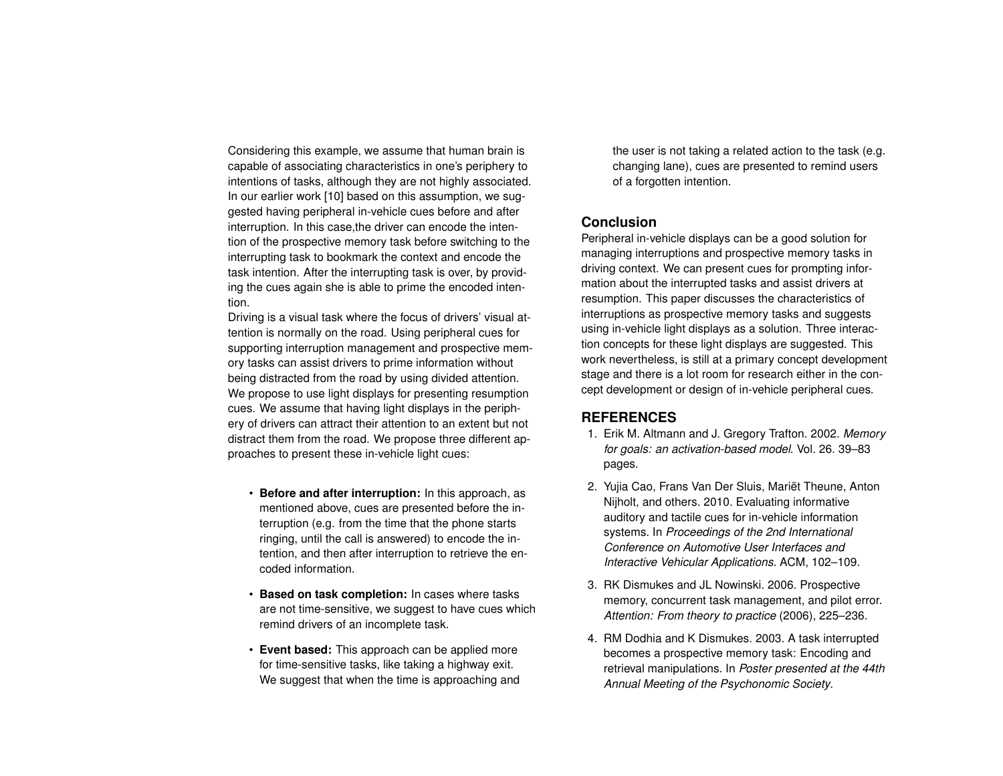Considering this example, we assume that human brain is capable of associating characteristics in one's periphery to intentions of tasks, although they are not highly associated. In our earlier work [\[10\]](#page-3-8) based on this assumption, we suggested having peripheral in-vehicle cues before and after interruption. In this case,the driver can encode the intention of the prospective memory task before switching to the interrupting task to bookmark the context and encode the task intention. After the interrupting task is over, by providing the cues again she is able to prime the encoded intention.

Driving is a visual task where the focus of drivers' visual attention is normally on the road. Using peripheral cues for supporting interruption management and prospective memory tasks can assist drivers to prime information without being distracted from the road by using divided attention. We propose to use light displays for presenting resumption cues. We assume that having light displays in the periphery of drivers can attract their attention to an extent but not distract them from the road. We propose three different approaches to present these in-vehicle light cues:

- **Before and after interruption:** In this approach, as mentioned above, cues are presented before the interruption (e.g. from the time that the phone starts ringing, until the call is answered) to encode the intention, and then after interruption to retrieve the encoded information.
- **Based on task completion:** In cases where tasks are not time-sensitive, we suggest to have cues which remind drivers of an incomplete task.
- **Event based:** This approach can be applied more for time-sensitive tasks, like taking a highway exit. We suggest that when the time is approaching and

the user is not taking a related action to the task (e.g. changing lane), cues are presented to remind users of a forgotten intention.

## **Conclusion**

Peripheral in-vehicle displays can be a good solution for managing interruptions and prospective memory tasks in driving context. We can present cues for prompting information about the interrupted tasks and assist drivers at resumption. This paper discusses the characteristics of interruptions as prospective memory tasks and suggests using in-vehicle light displays as a solution. Three interaction concepts for these light displays are suggested. This work nevertheless, is still at a primary concept development stage and there is a lot room for research either in the concept development or design of in-vehicle peripheral cues.

#### **REFERENCES**

- <span id="page-2-3"></span>1. Erik M. Altmann and J. Gregory Trafton. 2002. *Memory for goals: an activation-based model*. Vol. 26. 39–83 pages.
- <span id="page-2-2"></span>2. Yujia Cao, Frans Van Der Sluis, Mariët Theune, Anton Nijholt, and others. 2010. Evaluating informative auditory and tactile cues for in-vehicle information systems. In *Proceedings of the 2nd International Conference on Automotive User Interfaces and Interactive Vehicular Applications*. ACM, 102–109.
- <span id="page-2-0"></span>3. RK Dismukes and JL Nowinski. 2006. Prospective memory, concurrent task management, and pilot error. *Attention: From theory to practice* (2006), 225–236.
- <span id="page-2-1"></span>4. RM Dodhia and K Dismukes. 2003. A task interrupted becomes a prospective memory task: Encoding and retrieval manipulations. In *Poster presented at the 44th Annual Meeting of the Psychonomic Society*.